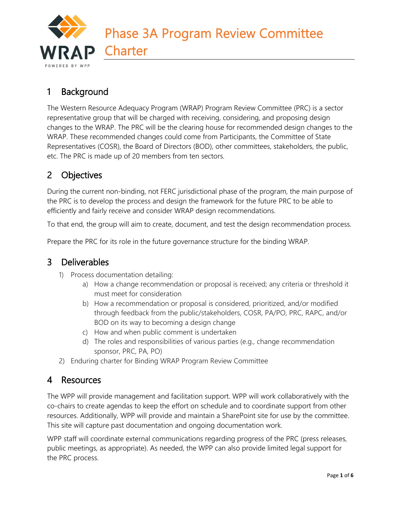

# 1 Background

The Western Resource Adequacy Program (WRAP) Program Review Committee (PRC) is a sector representative group that will be charged with receiving, considering, and proposing design changes to the WRAP. The PRC will be the clearing house for recommended design changes to the WRAP. These recommended changes could come from Participants, the Committee of State Representatives (COSR), the Board of Directors (BOD), other committees, stakeholders, the public, etc. The PRC is made up of 20 members from ten sectors.

# 2 Objectives

During the current non-binding, not FERC jurisdictional phase of the program, the main purpose of the PRC is to develop the process and design the framework for the future PRC to be able to efficiently and fairly receive and consider WRAP design recommendations.

To that end, the group will aim to create, document, and test the design recommendation process.

Prepare the PRC for its role in the future governance structure for the binding WRAP.

## 3 Deliverables

- 1) Process documentation detailing:
	- a) How a change recommendation or proposal is received; any criteria or threshold it must meet for consideration
	- b) How a recommendation or proposal is considered, prioritized, and/or modified through feedback from the public/stakeholders, COSR, PA/PO, PRC, RAPC, and/or BOD on its way to becoming a design change
	- c) How and when public comment is undertaken
	- d) The roles and responsibilities of various parties (e.g., change recommendation sponsor, PRC, PA, PO)
- 2) Enduring charter for Binding WRAP Program Review Committee

## 4 Resources

The WPP will provide management and facilitation support. WPP will work collaboratively with the co-chairs to create agendas to keep the effort on schedule and to coordinate support from other resources. Additionally, WPP will provide and maintain a SharePoint site for use by the committee. This site will capture past documentation and ongoing documentation work.

WPP staff will coordinate external communications regarding progress of the PRC (press releases, public meetings, as appropriate). As needed, the WPP can also provide limited legal support for the PRC process.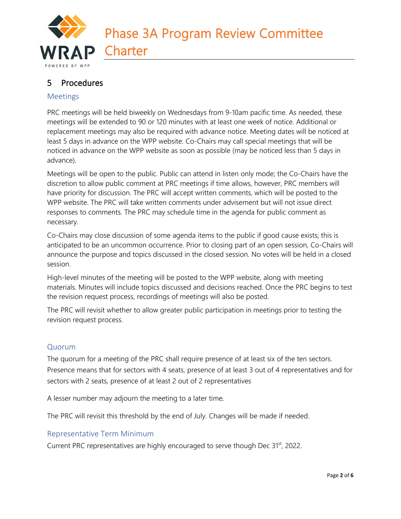

## 5 Procedures

#### Meetings

PRC meetings will be held biweekly on Wednesdays from 9-10am pacific time. As needed, these meetings will be extended to 90 or 120 minutes with at least one week of notice. Additional or replacement meetings may also be required with advance notice. Meeting dates will be noticed at least 5 days in advance on the WPP website. Co-Chairs may call special meetings that will be noticed in advance on the WPP website as soon as possible (may be noticed less than 5 days in advance).

Meetings will be open to the public. Public can attend in listen only mode; the Co-Chairs have the discretion to allow public comment at PRC meetings if time allows, however, PRC members will have priority for discussion. The PRC will accept written comments, which will be posted to the WPP website. The PRC will take written comments under advisement but will not issue direct responses to comments. The PRC may schedule time in the agenda for public comment as necessary.

Co-Chairs may close discussion of some agenda items to the public if good cause exists; this is anticipated to be an uncommon occurrence. Prior to closing part of an open session, Co-Chairs will announce the purpose and topics discussed in the closed session. No votes will be held in a closed session.

High-level minutes of the meeting will be posted to the WPP website, along with meeting materials. Minutes will include topics discussed and decisions reached. Once the PRC begins to test the revision request process, recordings of meetings will also be posted.

The PRC will revisit whether to allow greater public participation in meetings prior to testing the revision request process.

### Quorum

The quorum for a meeting of the PRC shall require presence of at least six of the ten sectors. Presence means that for sectors with 4 seats, presence of at least 3 out of 4 representatives and for sectors with 2 seats, presence of at least 2 out of 2 representatives

A lesser number may adjourn the meeting to a later time.

The PRC will revisit this threshold by the end of July. Changes will be made if needed.

#### Representative Term Minimum

Current PRC representatives are highly encouraged to serve though Dec 31<sup>st</sup>, 2022.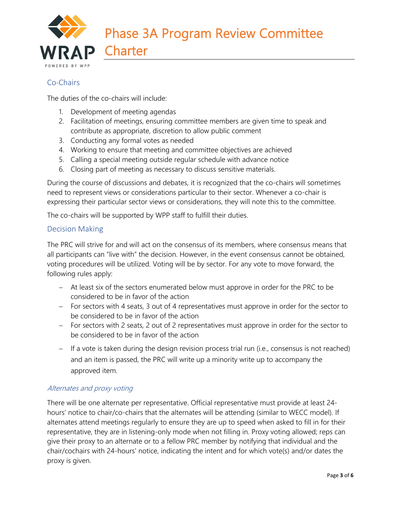

### Co-Chairs

The duties of the co-chairs will include:

- 1. Development of meeting agendas
- 2. Facilitation of meetings, ensuring committee members are given time to speak and contribute as appropriate, discretion to allow public comment
- 3. Conducting any formal votes as needed
- 4. Working to ensure that meeting and committee objectives are achieved
- 5. Calling a special meeting outside regular schedule with advance notice
- 6. Closing part of meeting as necessary to discuss sensitive materials.

During the course of discussions and debates, it is recognized that the co-chairs will sometimes need to represent views or considerations particular to their sector. Whenever a co-chair is expressing their particular sector views or considerations, they will note this to the committee.

The co-chairs will be supported by WPP staff to fulfill their duties.

#### Decision Making

The PRC will strive for and will act on the consensus of its members, where consensus means that all participants can "live with" the decision. However, in the event consensus cannot be obtained, voting procedures will be utilized. Voting will be by sector. For any vote to move forward, the following rules apply:

- − At least six of the sectors enumerated below must approve in order for the PRC to be considered to be in favor of the action
- − For sectors with 4 seats, 3 out of 4 representatives must approve in order for the sector to be considered to be in favor of the action
- − For sectors with 2 seats, 2 out of 2 representatives must approve in order for the sector to be considered to be in favor of the action
- − If a vote is taken during the design revision process trial run (i.e., consensus is not reached) and an item is passed, the PRC will write up a minority write up to accompany the approved item.

#### Alternates and proxy voting

There will be one alternate per representative. Official representative must provide at least 24 hours' notice to chair/co-chairs that the alternates will be attending (similar to WECC model). If alternates attend meetings regularly to ensure they are up to speed when asked to fill in for their representative, they are in listening-only mode when not filling in. Proxy voting allowed; reps can give their proxy to an alternate or to a fellow PRC member by notifying that individual and the chair/cochairs with 24-hours' notice, indicating the intent and for which vote(s) and/or dates the proxy is given.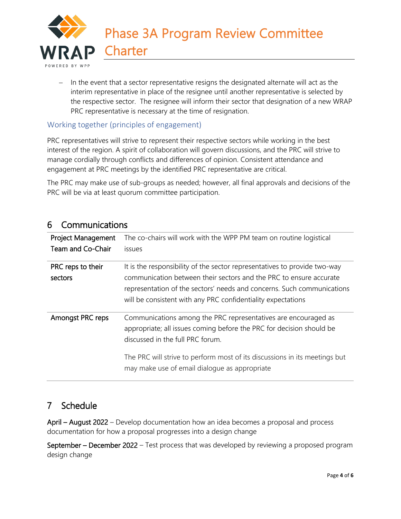

− In the event that a sector representative resigns the designated alternate will act as the interim representative in place of the resignee until another representative is selected by the respective sector. The resignee will inform their sector that designation of a new WRAP PRC representative is necessary at the time of resignation.

### Working together (principles of engagement)

PRC representatives will strive to represent their respective sectors while working in the best interest of the region. A spirit of collaboration will govern discussions, and the PRC will strive to manage cordially through conflicts and differences of opinion. Consistent attendance and engagement at PRC meetings by the identified PRC representative are critical.

The PRC may make use of sub-groups as needed; however, all final approvals and decisions of the PRC will be via at least quorum committee participation.

### 6 Communications

| <b>Project Management</b><br>Team and Co-Chair | The co-chairs will work with the WPP PM team on routine logistical<br><i>issues</i>                                                                                                                                                                                                                       |
|------------------------------------------------|-----------------------------------------------------------------------------------------------------------------------------------------------------------------------------------------------------------------------------------------------------------------------------------------------------------|
| PRC reps to their<br>sectors                   | It is the responsibility of the sector representatives to provide two-way<br>communication between their sectors and the PRC to ensure accurate<br>representation of the sectors' needs and concerns. Such communications<br>will be consistent with any PRC confidentiality expectations                 |
| Amongst PRC reps                               | Communications among the PRC representatives are encouraged as<br>appropriate; all issues coming before the PRC for decision should be<br>discussed in the full PRC forum.<br>The PRC will strive to perform most of its discussions in its meetings but<br>may make use of email dialogue as appropriate |

## 7 Schedule

April – August 2022 – Develop documentation how an idea becomes a proposal and process documentation for how a proposal progresses into a design change

September – December 2022 – Test process that was developed by reviewing a proposed program design change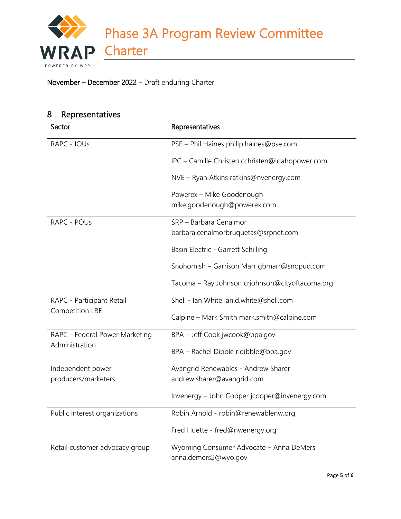Phase 3A Program Review Committee **Charter** RAP BY WPP

### November – December 2022 – Draft enduring Charter

| 8<br>Representatives           |                                                 |
|--------------------------------|-------------------------------------------------|
| Sector                         | Representatives                                 |
| RAPC - IOUs                    | PSE - Phil Haines philip.haines@pse.com         |
|                                | IPC - Camille Christen cchristen@idahopower.com |
|                                | NVE - Ryan Atkins ratkins@nvenergy.com          |
|                                | Powerex - Mike Goodenough                       |
|                                | mike.goodenough@powerex.com                     |
| RAPC - POUs                    | SRP - Barbara Cenalmor                          |
|                                | barbara.cenalmorbruquetas@srpnet.com            |
|                                | Basin Electric - Garrett Schilling              |
|                                | Snohomish - Garrison Marr gbmarr@snopud.com     |
|                                | Tacoma - Ray Johnson crjohnson@cityoftacoma.org |
| RAPC - Participant Retail      | Shell - Ian White ian.d.white@shell.com         |
| Competition LRE                | Calpine - Mark Smith mark.smith@calpine.com     |
| RAPC - Federal Power Marketing | BPA - Jeff Cook jwcook@bpa.gov                  |
| Administration                 | BPA - Rachel Dibble rldibble@bpa.gov            |
| Independent power              | Avangrid Renewables - Andrew Sharer             |
| producers/marketers            | andrew.sharer@avangrid.com                      |
|                                | Invenergy - John Cooper jcooper@invenergy.com   |
| Public interest organizations  | Robin Arnold - robin@renewablenw.org            |
|                                | Fred Huette - fred@nwenergy.org                 |
| Retail customer advocacy group | Wyoming Consumer Advocate - Anna DeMers         |
|                                | anna.demers2@wyo.gov                            |